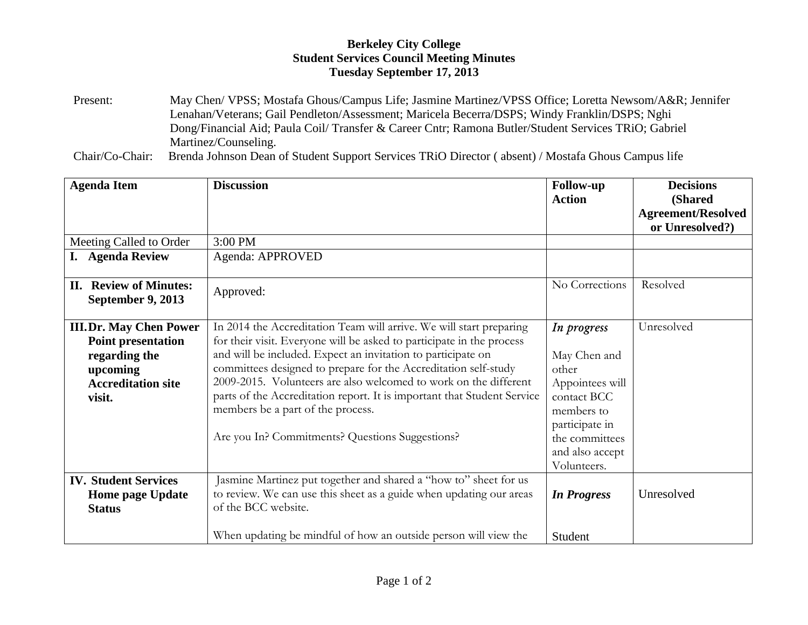## **Berkeley City College Student Services Council Meeting Minutes Tuesday September 17, 2013**

Present: May Chen/ VPSS; Mostafa Ghous/Campus Life; Jasmine Martinez/VPSS Office; Loretta Newsom/A&R; Jennifer Lenahan/Veterans; Gail Pendleton/Assessment; Maricela Becerra/DSPS; Windy Franklin/DSPS; Nghi Dong/Financial Aid; Paula Coil/ Transfer & Career Cntr; Ramona Butler/Student Services TRiO; Gabriel Martinez/Counseling.

Chair/Co-Chair: Brenda Johnson Dean of Student Support Services TRiO Director ( absent) / Mostafa Ghous Campus life

| <b>Agenda Item</b>                                                                                                             | <b>Discussion</b>                                                                                                                                                                                                                                                                                                                                                                                                                                                                                                      | <b>Follow-up</b>                                                                                                                                           | <b>Decisions</b>                                                |
|--------------------------------------------------------------------------------------------------------------------------------|------------------------------------------------------------------------------------------------------------------------------------------------------------------------------------------------------------------------------------------------------------------------------------------------------------------------------------------------------------------------------------------------------------------------------------------------------------------------------------------------------------------------|------------------------------------------------------------------------------------------------------------------------------------------------------------|-----------------------------------------------------------------|
|                                                                                                                                |                                                                                                                                                                                                                                                                                                                                                                                                                                                                                                                        | <b>Action</b>                                                                                                                                              | <b>(Shared)</b><br><b>Agreement/Resolved</b><br>or Unresolved?) |
| Meeting Called to Order                                                                                                        | 3:00 PM                                                                                                                                                                                                                                                                                                                                                                                                                                                                                                                |                                                                                                                                                            |                                                                 |
| <b>Agenda Review</b>                                                                                                           | Agenda: APPROVED                                                                                                                                                                                                                                                                                                                                                                                                                                                                                                       |                                                                                                                                                            |                                                                 |
| <b>Review of Minutes:</b><br>П.<br><b>September 9, 2013</b>                                                                    | Approved:                                                                                                                                                                                                                                                                                                                                                                                                                                                                                                              | No Corrections                                                                                                                                             | Resolved                                                        |
| <b>III.Dr. May Chen Power</b><br><b>Point presentation</b><br>regarding the<br>upcoming<br><b>Accreditation site</b><br>visit. | In 2014 the Accreditation Team will arrive. We will start preparing<br>for their visit. Everyone will be asked to participate in the process<br>and will be included. Expect an invitation to participate on<br>committees designed to prepare for the Accreditation self-study<br>2009-2015. Volunteers are also welcomed to work on the different<br>parts of the Accreditation report. It is important that Student Service<br>members be a part of the process.<br>Are you In? Commitments? Questions Suggestions? | In progress<br>May Chen and<br>other<br>Appointees will<br>contact BCC<br>members to<br>participate in<br>the committees<br>and also accept<br>Volunteers. | Unresolved                                                      |
| <b>IV. Student Services</b><br><b>Home page Update</b><br><b>Status</b>                                                        | Jasmine Martinez put together and shared a "how to" sheet for us<br>to review. We can use this sheet as a guide when updating our areas<br>of the BCC website.<br>When updating be mindful of how an outside person will view the                                                                                                                                                                                                                                                                                      | <b>In Progress</b><br>Student                                                                                                                              | Unresolved                                                      |